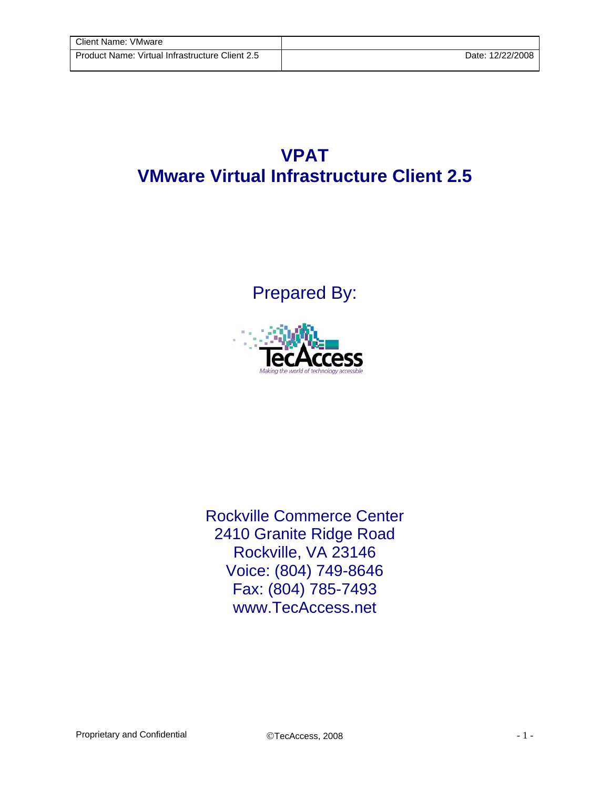## **VPAT VMware Virtual Infrastructure Client 2.5**

Prepared By:



Rockville Commerce Center 2410 Granite Ridge Road Rockville, VA 23146 Voice: (804) 749-8646 Fax: (804) 785-7493 www.TecAccess.net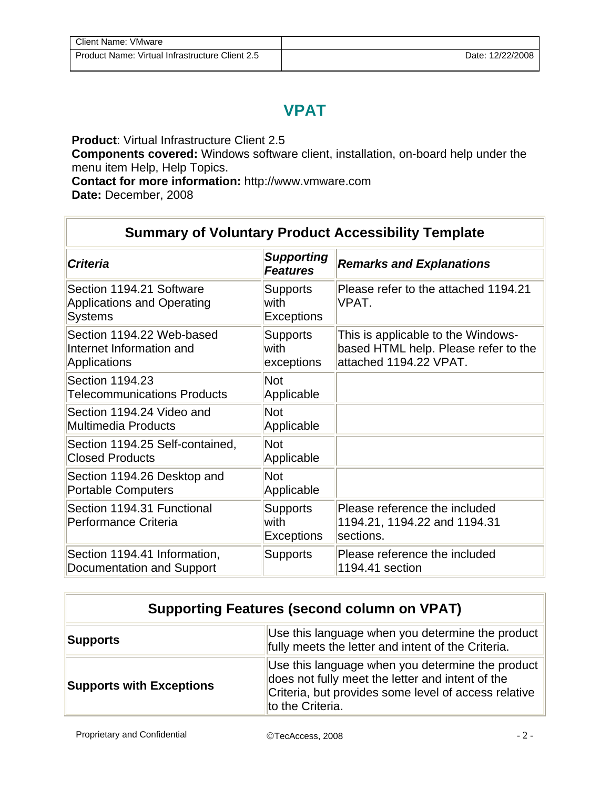## **VPAT**

**Product**: Virtual Infrastructure Client 2.5

**Components covered:** Windows software client, installation, on-board help under the menu item Help, Help Topics.

**Contact for more information:** http://www.vmware.com

**Date:** December, 2008

## **Summary of Voluntary Product Accessibility Template**

| <b>Criteria</b>                                                                 | <b>Supporting</b><br><b>Features</b>         | <b>Remarks and Explanations</b>                                                                      |
|---------------------------------------------------------------------------------|----------------------------------------------|------------------------------------------------------------------------------------------------------|
| Section 1194.21 Software<br><b>Applications and Operating</b><br><b>Systems</b> | <b>Supports</b><br>with<br><b>Exceptions</b> | Please refer to the attached 1194.21<br>VPAT.                                                        |
| Section 1194.22 Web-based<br>Internet Information and<br><b>Applications</b>    | <b>Supports</b><br>with<br>exceptions        | This is applicable to the Windows-<br>based HTML help. Please refer to the<br>attached 1194.22 VPAT. |
| Section 1194.23<br><b>Telecommunications Products</b>                           | <b>Not</b><br>Applicable                     |                                                                                                      |
| Section 1194.24 Video and<br>Multimedia Products                                | <b>Not</b><br>Applicable                     |                                                                                                      |
| Section 1194.25 Self-contained,<br><b>Closed Products</b>                       | <b>Not</b><br>Applicable                     |                                                                                                      |
| Section 1194.26 Desktop and<br><b>Portable Computers</b>                        | <b>Not</b><br>Applicable                     |                                                                                                      |
| Section 1194.31 Functional<br>Performance Criteria                              | <b>Supports</b><br>with<br><b>Exceptions</b> | Please reference the included<br>1194.21, 1194.22 and 1194.31<br>sections.                           |
| Section 1194.41 Information,<br>Documentation and Support                       | <b>Supports</b>                              | Please reference the included<br>1194.41 section                                                     |

| <b>Supporting Features (second column on VPAT)</b> |                                                                                                                                                                                  |  |
|----------------------------------------------------|----------------------------------------------------------------------------------------------------------------------------------------------------------------------------------|--|
| Supports                                           | Use this language when you determine the product<br>fully meets the letter and intent of the Criteria.                                                                           |  |
| <b>Supports with Exceptions</b>                    | Use this language when you determine the product<br>does not fully meet the letter and intent of the<br>Criteria, but provides some level of access relative<br>to the Criteria. |  |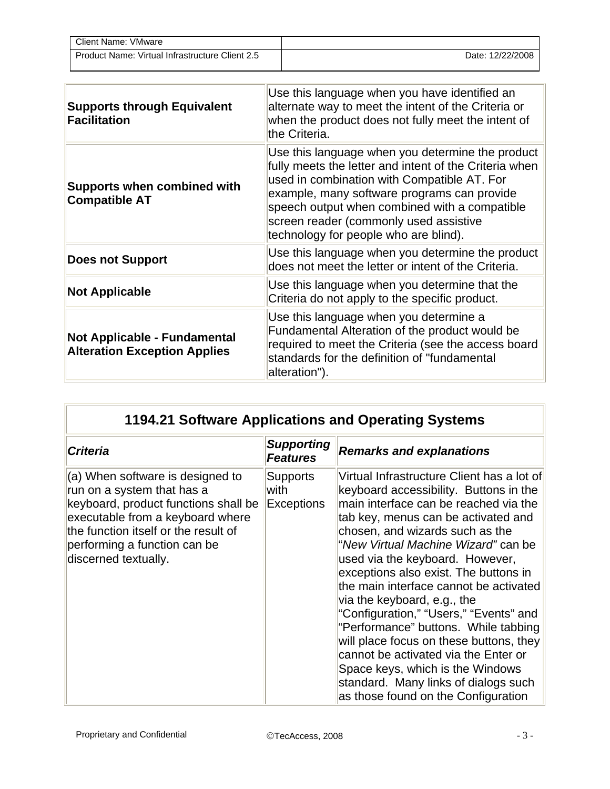| Client Name: VMware                             |                  |
|-------------------------------------------------|------------------|
| Product Name: Virtual Infrastructure Client 2.5 | Date: 12/22/2008 |

| <b>Supports through Equivalent</b><br><b>Facilitation</b>                  | Use this language when you have identified an<br>alternate way to meet the intent of the Criteria or<br>when the product does not fully meet the intent of<br>the Criteria.                                                                                                                                                                  |
|----------------------------------------------------------------------------|----------------------------------------------------------------------------------------------------------------------------------------------------------------------------------------------------------------------------------------------------------------------------------------------------------------------------------------------|
| <b>Supports when combined with</b><br><b>Compatible AT</b>                 | Use this language when you determine the product<br>fully meets the letter and intent of the Criteria when<br>used in combination with Compatible AT. For<br>example, many software programs can provide<br>speech output when combined with a compatible<br>screen reader (commonly used assistive<br>technology for people who are blind). |
| <b>Does not Support</b>                                                    | Use this language when you determine the product<br>does not meet the letter or intent of the Criteria.                                                                                                                                                                                                                                      |
| <b>Not Applicable</b>                                                      | Use this language when you determine that the<br>Criteria do not apply to the specific product.                                                                                                                                                                                                                                              |
| <b>Not Applicable - Fundamental</b><br><b>Alteration Exception Applies</b> | Use this language when you determine a<br>Fundamental Alteration of the product would be<br>required to meet the Criteria (see the access board<br>standards for the definition of "fundamental<br>alteration").                                                                                                                             |

| 1194.21 Software Applications and Operating Systems                                                                                                                                                                                        |                                              |                                                                                                                                                                                                                                                                                                                                                                                                                                                                                                                                                                                                                                                                                             |
|--------------------------------------------------------------------------------------------------------------------------------------------------------------------------------------------------------------------------------------------|----------------------------------------------|---------------------------------------------------------------------------------------------------------------------------------------------------------------------------------------------------------------------------------------------------------------------------------------------------------------------------------------------------------------------------------------------------------------------------------------------------------------------------------------------------------------------------------------------------------------------------------------------------------------------------------------------------------------------------------------------|
| <b>Criteria</b>                                                                                                                                                                                                                            | Supporting<br><b>Features</b>                | <b>Remarks and explanations</b>                                                                                                                                                                                                                                                                                                                                                                                                                                                                                                                                                                                                                                                             |
| (a) When software is designed to<br>run on a system that has a<br>keyboard, product functions shall be<br>executable from a keyboard where<br>the function itself or the result of<br>performing a function can be<br>discerned textually. | <b>Supports</b><br>with<br><b>Exceptions</b> | Virtual Infrastructure Client has a lot of<br>keyboard accessibility. Buttons in the<br>main interface can be reached via the<br>tab key, menus can be activated and<br>chosen, and wizards such as the<br>"New Virtual Machine Wizard" can be<br>used via the keyboard. However,<br>exceptions also exist. The buttons in<br>the main interface cannot be activated<br>via the keyboard, e.g., the<br>"Configuration," "Users," "Events" and<br>"Performance" buttons. While tabbing<br>will place focus on these buttons, they<br>cannot be activated via the Enter or<br>Space keys, which is the Windows<br>standard. Many links of dialogs such<br>as those found on the Configuration |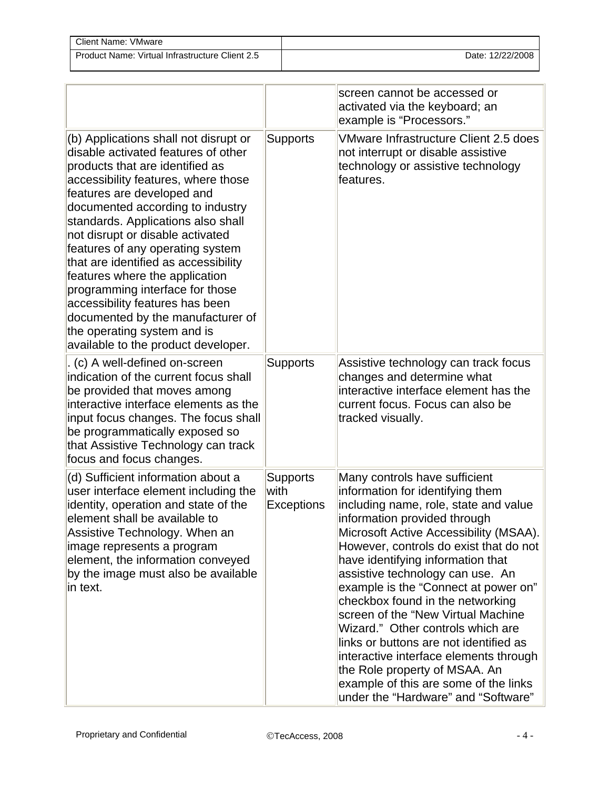| Client Name: VMware                             |                  |
|-------------------------------------------------|------------------|
| Product Name: Virtual Infrastructure Client 2.5 | Date: 12/22/2008 |

|                                                                                                                                                                                                                                                                                                                                                                                                                                                                                                                                                                                                   |                                              | screen cannot be accessed or<br>activated via the keyboard; an<br>example is "Processors."                                                                                                                                                                                                                                                                                                                                                                                                                                                                                                                                                                          |
|---------------------------------------------------------------------------------------------------------------------------------------------------------------------------------------------------------------------------------------------------------------------------------------------------------------------------------------------------------------------------------------------------------------------------------------------------------------------------------------------------------------------------------------------------------------------------------------------------|----------------------------------------------|---------------------------------------------------------------------------------------------------------------------------------------------------------------------------------------------------------------------------------------------------------------------------------------------------------------------------------------------------------------------------------------------------------------------------------------------------------------------------------------------------------------------------------------------------------------------------------------------------------------------------------------------------------------------|
| (b) Applications shall not disrupt or<br>disable activated features of other<br>products that are identified as<br>accessibility features, where those<br>features are developed and<br>documented according to industry<br>standards. Applications also shall<br>not disrupt or disable activated<br>features of any operating system<br>that are identified as accessibility<br>features where the application<br>programming interface for those<br>accessibility features has been<br>documented by the manufacturer of<br>the operating system and is<br>available to the product developer. | <b>Supports</b>                              | VMware Infrastructure Client 2.5 does<br>not interrupt or disable assistive<br>technology or assistive technology<br>features.                                                                                                                                                                                                                                                                                                                                                                                                                                                                                                                                      |
| (c) A well-defined on-screen<br>indication of the current focus shall<br>be provided that moves among<br>interactive interface elements as the<br>input focus changes. The focus shall<br>be programmatically exposed so<br>that Assistive Technology can track<br>focus and focus changes.                                                                                                                                                                                                                                                                                                       | <b>Supports</b>                              | Assistive technology can track focus<br>changes and determine what<br>interactive interface element has the<br>current focus. Focus can also be<br>tracked visually.                                                                                                                                                                                                                                                                                                                                                                                                                                                                                                |
| (d) Sufficient information about a<br>user interface element including the<br>identity, operation and state of the<br>element shall be available to<br>Assistive Technology. When an<br>image represents a program<br>element, the information conveyed<br>by the image must also be available<br>in text.                                                                                                                                                                                                                                                                                        | <b>Supports</b><br>with<br><b>Exceptions</b> | Many controls have sufficient<br>information for identifying them<br>including name, role, state and value<br>information provided through<br>Microsoft Active Accessibility (MSAA).<br>However, controls do exist that do not<br>have identifying information that<br>assistive technology can use. An<br>example is the "Connect at power on"<br>checkbox found in the networking<br>screen of the "New Virtual Machine<br>Wizard." Other controls which are<br>links or buttons are not identified as<br>interactive interface elements through<br>the Role property of MSAA. An<br>example of this are some of the links<br>under the "Hardware" and "Software" |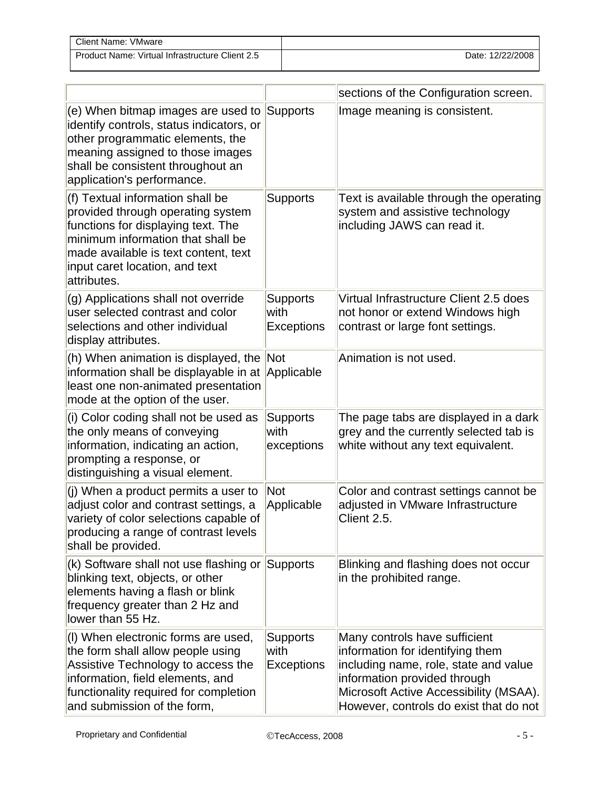| Client Name: VMware                             |                  |
|-------------------------------------------------|------------------|
| Product Name: Virtual Infrastructure Client 2.5 | Date: 12/22/2008 |

|                                                                                                                                                                                                                                           |                                              | sections of the Configuration screen.                                                                                                                                                                                          |
|-------------------------------------------------------------------------------------------------------------------------------------------------------------------------------------------------------------------------------------------|----------------------------------------------|--------------------------------------------------------------------------------------------------------------------------------------------------------------------------------------------------------------------------------|
| (e) When bitmap images are used to<br>identify controls, status indicators, or<br>other programmatic elements, the<br>meaning assigned to those images<br>shall be consistent throughout an<br>application's performance.                 | Supports                                     | Image meaning is consistent.                                                                                                                                                                                                   |
| (f) Textual information shall be<br>provided through operating system<br>functions for displaying text. The<br>minimum information that shall be<br>made available is text content, text<br>input caret location, and text<br>attributes. | <b>Supports</b>                              | Text is available through the operating<br>system and assistive technology<br>including JAWS can read it.                                                                                                                      |
| (g) Applications shall not override<br>user selected contrast and color<br>selections and other individual<br>display attributes.                                                                                                         | <b>Supports</b><br>with<br><b>Exceptions</b> | Virtual Infrastructure Client 2.5 does<br>not honor or extend Windows high<br>contrast or large font settings.                                                                                                                 |
| (h) When animation is displayed, the Not<br>information shall be displayable in at<br>least one non-animated presentation<br>mode at the option of the user.                                                                              | Applicable                                   | Animation is not used.                                                                                                                                                                                                         |
| (i) Color coding shall not be used as<br>the only means of conveying<br>information, indicating an action,<br>prompting a response, or<br>distinguishing a visual element.                                                                | <b>Supports</b><br>with<br>exceptions        | The page tabs are displayed in a dark<br>grey and the currently selected tab is<br>white without any text equivalent.                                                                                                          |
| (j) When a product permits a user to<br>adjust color and contrast settings, a<br>variety of color selections capable of<br>producing a range of contrast levels<br>shall be provided.                                                     | <b>Not</b><br>Applicable                     | Color and contrast settings cannot be<br>adjusted in VMware Infrastructure<br>Client 2.5.                                                                                                                                      |
| (k) Software shall not use flashing or<br>blinking text, objects, or other<br>elements having a flash or blink<br>frequency greater than 2 Hz and<br>lower than 55 Hz.                                                                    | Supports                                     | Blinking and flashing does not occur<br>in the prohibited range.                                                                                                                                                               |
| (I) When electronic forms are used,<br>the form shall allow people using<br>Assistive Technology to access the<br>information, field elements, and<br>functionality required for completion<br>and submission of the form,                | <b>Supports</b><br>with<br><b>Exceptions</b> | Many controls have sufficient<br>information for identifying them<br>including name, role, state and value<br>information provided through<br>Microsoft Active Accessibility (MSAA).<br>However, controls do exist that do not |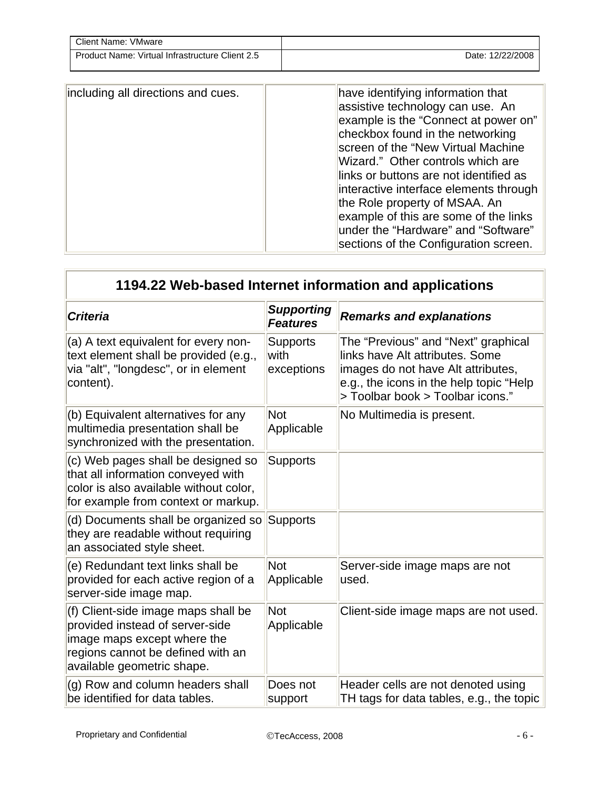| Client Name: VMware                             |                  |
|-------------------------------------------------|------------------|
| Product Name: Virtual Infrastructure Client 2.5 | Date: 12/22/2008 |

| including all directions and cues.<br>under the "Hardware" and "Software" | have identifying information that<br>assistive technology can use. An<br>example is the "Connect at power on"<br>checkbox found in the networking<br>screen of the "New Virtual Machine"<br>Wizard." Other controls which are<br>links or buttons are not identified as<br>interactive interface elements through<br>the Role property of MSAA. An<br>example of this are some of the links |
|---------------------------------------------------------------------------|---------------------------------------------------------------------------------------------------------------------------------------------------------------------------------------------------------------------------------------------------------------------------------------------------------------------------------------------------------------------------------------------|
|---------------------------------------------------------------------------|---------------------------------------------------------------------------------------------------------------------------------------------------------------------------------------------------------------------------------------------------------------------------------------------------------------------------------------------------------------------------------------------|

| 1194.22 Web-based Internet information and applications                                                                                                                  |                                       |                                                                                                                                                                                             |  |
|--------------------------------------------------------------------------------------------------------------------------------------------------------------------------|---------------------------------------|---------------------------------------------------------------------------------------------------------------------------------------------------------------------------------------------|--|
| <b>Criteria</b>                                                                                                                                                          | <b>Supporting</b><br><b>Features</b>  | <b>Remarks and explanations</b>                                                                                                                                                             |  |
| (a) A text equivalent for every non-<br>text element shall be provided (e.g.,<br>via "alt", "longdesc", or in element<br>content).                                       | <b>Supports</b><br>with<br>exceptions | The "Previous" and "Next" graphical<br>links have Alt attributes. Some<br>images do not have Alt attributes,<br>e.g., the icons in the help topic "Help<br>> Toolbar book > Toolbar icons." |  |
| (b) Equivalent alternatives for any<br>multimedia presentation shall be<br>synchronized with the presentation.                                                           | <b>Not</b><br>Applicable              | No Multimedia is present.                                                                                                                                                                   |  |
| (c) Web pages shall be designed so<br>that all information conveyed with<br>color is also available without color,<br>for example from context or markup.                | <b>Supports</b>                       |                                                                                                                                                                                             |  |
| (d) Documents shall be organized so<br>they are readable without requiring<br>an associated style sheet.                                                                 | <b>Supports</b>                       |                                                                                                                                                                                             |  |
| (e) Redundant text links shall be<br>provided for each active region of a<br>server-side image map.                                                                      | <b>Not</b><br>Applicable              | Server-side image maps are not<br>used.                                                                                                                                                     |  |
| (f) Client-side image maps shall be<br>provided instead of server-side<br>image maps except where the<br>regions cannot be defined with an<br>available geometric shape. | <b>Not</b><br>Applicable              | Client-side image maps are not used.                                                                                                                                                        |  |
| (g) Row and column headers shall<br>be identified for data tables.                                                                                                       | Does not<br>support                   | Header cells are not denoted using<br>TH tags for data tables, e.g., the topic                                                                                                              |  |

Γ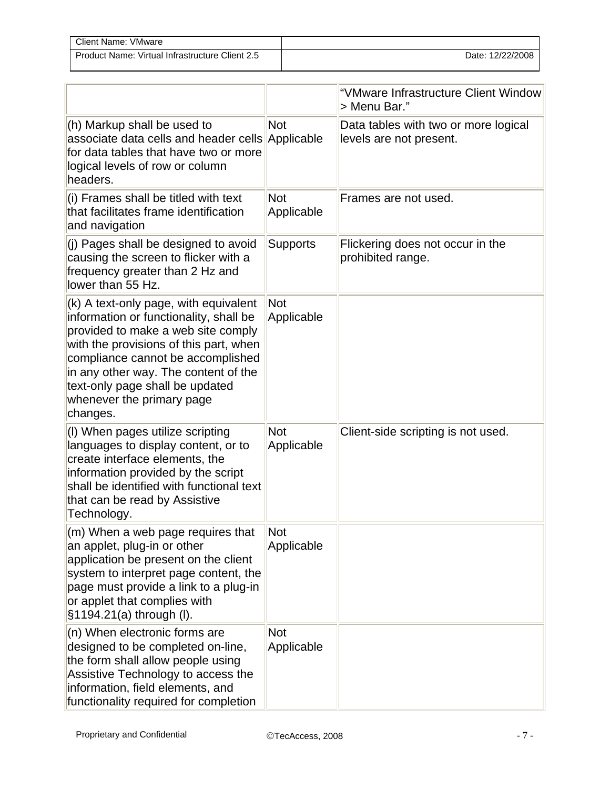| Client Name: VMware                             |                  |
|-------------------------------------------------|------------------|
| Product Name: Virtual Infrastructure Client 2.5 | Date: 12/22/2008 |

|                                                                                                                                                                                                                                                                                                                          |                          | "VMware Infrastructure Client Window<br>> Menu Bar."            |
|--------------------------------------------------------------------------------------------------------------------------------------------------------------------------------------------------------------------------------------------------------------------------------------------------------------------------|--------------------------|-----------------------------------------------------------------|
| (h) Markup shall be used to<br>associate data cells and header cells<br>for data tables that have two or more<br>logical levels of row or column<br>headers.                                                                                                                                                             | <b>Not</b><br>Applicable | Data tables with two or more logical<br>levels are not present. |
| (i) Frames shall be titled with text<br>that facilitates frame identification<br>and navigation                                                                                                                                                                                                                          | <b>Not</b><br>Applicable | Frames are not used.                                            |
| (j) Pages shall be designed to avoid<br>causing the screen to flicker with a<br>frequency greater than 2 Hz and<br>lower than 55 Hz.                                                                                                                                                                                     | <b>Supports</b>          | Flickering does not occur in the<br>prohibited range.           |
| (k) A text-only page, with equivalent<br>information or functionality, shall be<br>provided to make a web site comply<br>with the provisions of this part, when<br>compliance cannot be accomplished<br>in any other way. The content of the<br>text-only page shall be updated<br>whenever the primary page<br>changes. | <b>Not</b><br>Applicable |                                                                 |
| (I) When pages utilize scripting<br>languages to display content, or to<br>create interface elements, the<br>information provided by the script<br>shall be identified with functional text<br>that can be read by Assistive<br>Technology.                                                                              | <b>Not</b><br>Applicable | Client-side scripting is not used.                              |
| (m) When a web page requires that<br>an applet, plug-in or other<br>application be present on the client<br>system to interpret page content, the<br>page must provide a link to a plug-in<br>or applet that complies with<br>§1194.21(a) through (I).                                                                   | Not<br>Applicable        |                                                                 |
| (n) When electronic forms are<br>designed to be completed on-line,<br>the form shall allow people using<br>Assistive Technology to access the<br>information, field elements, and<br>functionality required for completion                                                                                               | <b>Not</b><br>Applicable |                                                                 |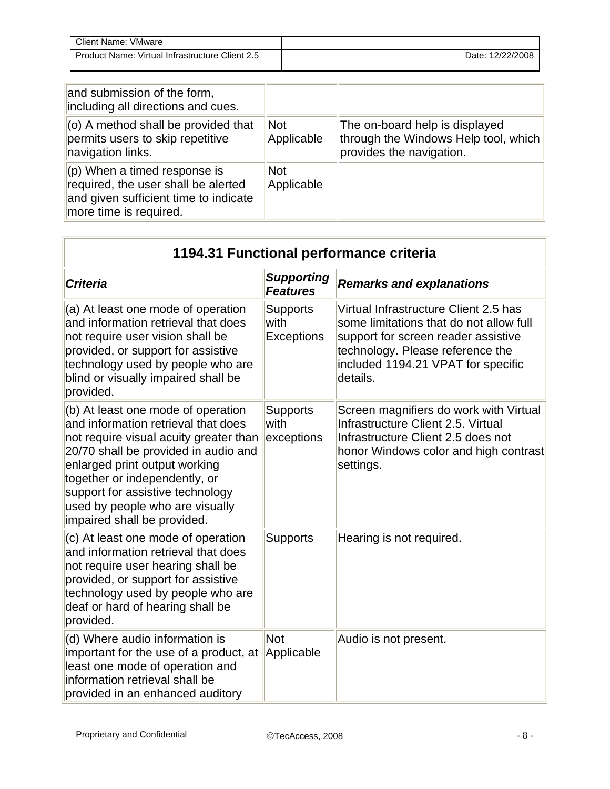| Client Name: VMware                             |                  |
|-------------------------------------------------|------------------|
| Product Name: Virtual Infrastructure Client 2.5 | Date: 12/22/2008 |

| and submission of the form,<br>including all directions and cues.                                                                        |                          |                                                                                                    |
|------------------------------------------------------------------------------------------------------------------------------------------|--------------------------|----------------------------------------------------------------------------------------------------|
| (o) A method shall be provided that<br>permits users to skip repetitive<br>navigation links.                                             | Not<br>Applicable        | The on-board help is displayed<br>through the Windows Help tool, which<br>provides the navigation. |
| $(p)$ When a timed response is<br>required, the user shall be alerted<br>and given sufficient time to indicate<br>more time is required. | <b>Not</b><br>Applicable |                                                                                                    |

| 1194.31 Functional performance criteria                                                                                                                                                                                                                                                                                             |                                       |                                                                                                                                                                                                               |
|-------------------------------------------------------------------------------------------------------------------------------------------------------------------------------------------------------------------------------------------------------------------------------------------------------------------------------------|---------------------------------------|---------------------------------------------------------------------------------------------------------------------------------------------------------------------------------------------------------------|
| <b>Criteria</b>                                                                                                                                                                                                                                                                                                                     | <b>Supporting</b><br><b>Features</b>  | <b>Remarks and explanations</b>                                                                                                                                                                               |
| (a) At least one mode of operation<br>and information retrieval that does<br>not require user vision shall be<br>provided, or support for assistive<br>technology used by people who are<br>blind or visually impaired shall be<br>provided.                                                                                        | <b>Supports</b><br>with<br>Exceptions | Virtual Infrastructure Client 2.5 has<br>some limitations that do not allow full<br>support for screen reader assistive<br>technology. Please reference the<br>included 1194.21 VPAT for specific<br>details. |
| (b) At least one mode of operation<br>and information retrieval that does<br>not require visual acuity greater than<br>20/70 shall be provided in audio and<br>enlarged print output working<br>together or independently, or<br>support for assistive technology<br>used by people who are visually<br>impaired shall be provided. | <b>Supports</b><br>with<br>exceptions | Screen magnifiers do work with Virtual<br>Infrastructure Client 2.5. Virtual<br>Infrastructure Client 2.5 does not<br>honor Windows color and high contrast<br>settings.                                      |
| (c) At least one mode of operation<br>and information retrieval that does<br>not require user hearing shall be<br>provided, or support for assistive<br>technology used by people who are<br>deaf or hard of hearing shall be<br>provided.                                                                                          | <b>Supports</b>                       | Hearing is not required.                                                                                                                                                                                      |
| (d) Where audio information is<br>important for the use of a product, at<br>least one mode of operation and<br>information retrieval shall be<br>provided in an enhanced auditory                                                                                                                                                   | <b>Not</b><br>Applicable              | Audio is not present.                                                                                                                                                                                         |

ЦÍ.